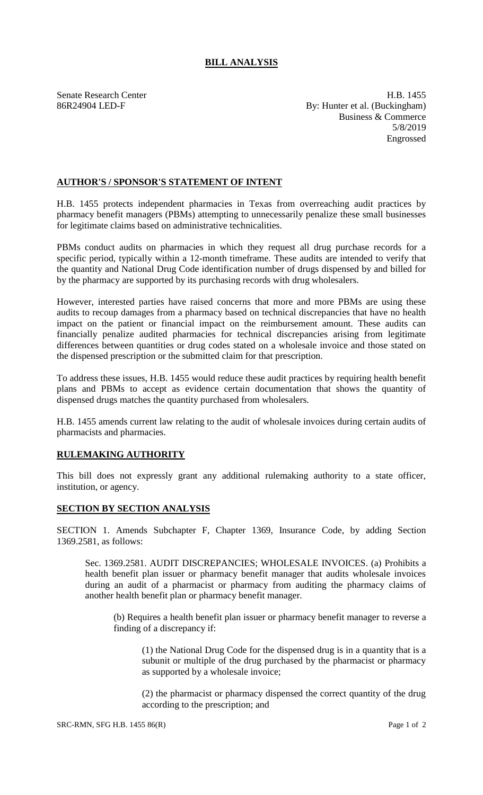## **BILL ANALYSIS**

Senate Research Center **H.B.** 1455 86R24904 LED-F By: Hunter et al. (Buckingham) Business & Commerce 5/8/2019 Engrossed

## **AUTHOR'S / SPONSOR'S STATEMENT OF INTENT**

H.B. 1455 protects independent pharmacies in Texas from overreaching audit practices by pharmacy benefit managers (PBMs) attempting to unnecessarily penalize these small businesses for legitimate claims based on administrative technicalities.

PBMs conduct audits on pharmacies in which they request all drug purchase records for a specific period, typically within a 12-month timeframe. These audits are intended to verify that the quantity and National Drug Code identification number of drugs dispensed by and billed for by the pharmacy are supported by its purchasing records with drug wholesalers.

However, interested parties have raised concerns that more and more PBMs are using these audits to recoup damages from a pharmacy based on technical discrepancies that have no health impact on the patient or financial impact on the reimbursement amount. These audits can financially penalize audited pharmacies for technical discrepancies arising from legitimate differences between quantities or drug codes stated on a wholesale invoice and those stated on the dispensed prescription or the submitted claim for that prescription.

To address these issues, H.B. 1455 would reduce these audit practices by requiring health benefit plans and PBMs to accept as evidence certain documentation that shows the quantity of dispensed drugs matches the quantity purchased from wholesalers.

H.B. 1455 amends current law relating to the audit of wholesale invoices during certain audits of pharmacists and pharmacies.

## **RULEMAKING AUTHORITY**

This bill does not expressly grant any additional rulemaking authority to a state officer, institution, or agency.

## **SECTION BY SECTION ANALYSIS**

SECTION 1. Amends Subchapter F, Chapter 1369, Insurance Code, by adding Section 1369.2581, as follows:

Sec. 1369.2581. AUDIT DISCREPANCIES; WHOLESALE INVOICES. (a) Prohibits a health benefit plan issuer or pharmacy benefit manager that audits wholesale invoices during an audit of a pharmacist or pharmacy from auditing the pharmacy claims of another health benefit plan or pharmacy benefit manager.

(b) Requires a health benefit plan issuer or pharmacy benefit manager to reverse a finding of a discrepancy if:

(1) the National Drug Code for the dispensed drug is in a quantity that is a subunit or multiple of the drug purchased by the pharmacist or pharmacy as supported by a wholesale invoice;

(2) the pharmacist or pharmacy dispensed the correct quantity of the drug according to the prescription; and